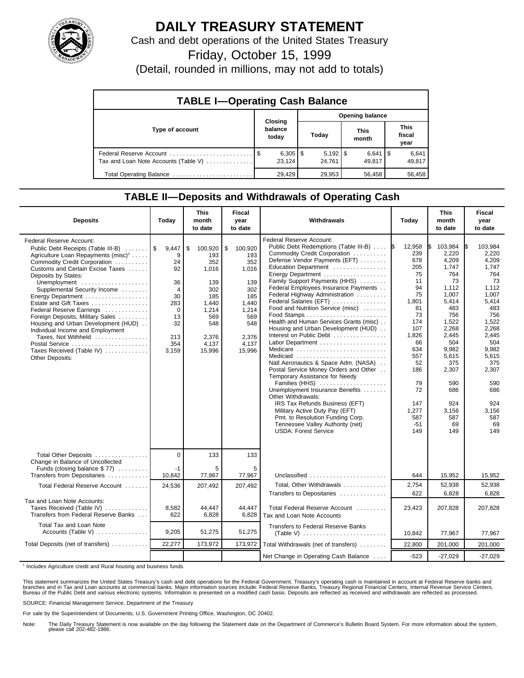

## **DAILY TREASURY STATEMENT**

Cash and debt operations of the United States Treasury

Friday, October 15, 1999

(Detail, rounded in millions, may not add to totals)

| <b>TABLE I-Operating Cash Balance</b> |         |                        |                        |                        |  |                      |  |                               |  |
|---------------------------------------|---------|------------------------|------------------------|------------------------|--|----------------------|--|-------------------------------|--|
|                                       | Closing |                        | <b>Opening balance</b> |                        |  |                      |  |                               |  |
| Type of account                       |         | balance<br>today       |                        | Today                  |  | <b>This</b><br>month |  | <b>This</b><br>fiscal<br>year |  |
| Tax and Loan Note Accounts (Table V)  |         | $6,305$   \$<br>23.124 |                        | $5,192$   \$<br>24.761 |  | $6,641$ S<br>49.817  |  | 6,641<br>49,817               |  |
| Total Operating Balance               |         | 29.429                 |                        | 29,953                 |  | 56,458               |  | 56,458                        |  |

## **TABLE II—Deposits and Withdrawals of Operating Cash**

| <b>Deposits</b>                                                                                                                                                                                                                                                                                                                                                                                                                                                                                                                                                  | Today                                                                                                      | <b>This</b><br>month<br>to date                                                                                       | Fiscal<br>year<br>to date                                                                                             | Withdrawals                                                                                                                                                                                                                                                                                                                                                                                                                                                                                                                                                                                                                                                                                                                                                                                                                                                               | Today                                                                                                                                                                               | <b>This</b><br>month<br>to date                                                                                                                                                                                | <b>Fiscal</b><br>year<br>to date                                                                                                                                                                                     |
|------------------------------------------------------------------------------------------------------------------------------------------------------------------------------------------------------------------------------------------------------------------------------------------------------------------------------------------------------------------------------------------------------------------------------------------------------------------------------------------------------------------------------------------------------------------|------------------------------------------------------------------------------------------------------------|-----------------------------------------------------------------------------------------------------------------------|-----------------------------------------------------------------------------------------------------------------------|---------------------------------------------------------------------------------------------------------------------------------------------------------------------------------------------------------------------------------------------------------------------------------------------------------------------------------------------------------------------------------------------------------------------------------------------------------------------------------------------------------------------------------------------------------------------------------------------------------------------------------------------------------------------------------------------------------------------------------------------------------------------------------------------------------------------------------------------------------------------------|-------------------------------------------------------------------------------------------------------------------------------------------------------------------------------------|----------------------------------------------------------------------------------------------------------------------------------------------------------------------------------------------------------------|----------------------------------------------------------------------------------------------------------------------------------------------------------------------------------------------------------------------|
| <b>Federal Reserve Account:</b><br>Public Debt Receipts (Table III-B)  \$<br>Agriculture Loan Repayments (misc) <sup>1</sup><br>Commodity Credit Corporation<br>Customs and Certain Excise Taxes<br>Deposits by States:<br>Unemployment<br>Supplemental Security Income<br>Energy Department<br>Estate and Gift Taxes<br>Federal Reserve Earnings<br>Foreign Deposits, Military Sales<br>Housing and Urban Development (HUD)<br>Individual Income and Employment<br>Taxes, Not Withheld<br>Postal Service<br>Taxes Received (Table IV)<br><b>Other Deposits:</b> | 9,447<br>9<br>24<br>92<br>36<br>$\overline{4}$<br>30<br>283<br>$\Omega$<br>13<br>32<br>213<br>354<br>3,159 | \$<br>100,920<br>193<br>352<br>1,016<br>139<br>302<br>185<br>1.440<br>1,214<br>569<br>548<br>2,376<br>4,137<br>15,996 | \$<br>100,920<br>193<br>352<br>1,016<br>139<br>302<br>185<br>1.440<br>1,214<br>569<br>548<br>2,376<br>4,137<br>15,996 | Federal Reserve Account:<br>Public Debt Redemptions (Table III-B)  S<br>Commodity Credit Corporation<br>Defense Vendor Payments (EFT)<br>Education Department<br>Family Support Payments (HHS)<br>Federal Employees Insurance Payments<br>Federal Highway Administration<br>Federal Salaries (EFT)<br>Food and Nutrition Service (misc)<br>Health and Human Services Grants (misc)<br>Housing and Urban Development (HUD)<br>Interest on Public Debt<br>Labor Department<br>Medicare<br>Medicaid<br>Natl Aeronautics & Space Adm. (NASA)<br>Postal Service Money Orders and Other<br>Temporary Assistance for Needy<br>Families (HHS)<br>Unemployment Insurance Benefits<br>Other Withdrawals:<br>IRS Tax Refunds Business (EFT)<br>Military Active Duty Pay (EFT)<br>Pmt. to Resolution Funding Corp.<br>Tennessee Valley Authority (net)<br><b>USDA: Forest Service</b> | 12.958<br>239<br>678<br>205<br>75<br>11<br>94<br>75<br>1,801<br>81<br>73<br>174<br>107<br>1,826<br>66<br>634<br>557<br>52<br>186<br>79<br>72<br>147<br>1,277<br>587<br>$-51$<br>149 | 103,984<br>2,220<br>4,209<br>1,747<br>764<br>73<br>1,112<br>1.007<br>5,414<br>483<br>756<br>1,522<br>2,268<br>2,445<br>504<br>9,982<br>5,615<br>375<br>2,307<br>590<br>686<br>924<br>3,156<br>587<br>69<br>149 | 103.984<br>ß.<br>2.220<br>4,209<br>1,747<br>764<br>73<br>1.112<br>1.007<br>5,414<br>483<br>756<br>1,522<br>2,268<br>2.445<br>504<br>9,982<br>5,615<br>375<br>2,307<br>590<br>686<br>924<br>3.156<br>587<br>69<br>149 |
| Total Other Deposits<br>Change in Balance of Uncollected                                                                                                                                                                                                                                                                                                                                                                                                                                                                                                         | $\Omega$                                                                                                   | 133                                                                                                                   | 133                                                                                                                   |                                                                                                                                                                                                                                                                                                                                                                                                                                                                                                                                                                                                                                                                                                                                                                                                                                                                           |                                                                                                                                                                                     |                                                                                                                                                                                                                |                                                                                                                                                                                                                      |
| Funds (closing balance \$77)<br>Transfers from Depositaries                                                                                                                                                                                                                                                                                                                                                                                                                                                                                                      | $-1$<br>10,842                                                                                             | 5<br>77,967                                                                                                           | 5<br>77,967                                                                                                           | Unclassified                                                                                                                                                                                                                                                                                                                                                                                                                                                                                                                                                                                                                                                                                                                                                                                                                                                              | 644                                                                                                                                                                                 | 15,952                                                                                                                                                                                                         | 15,952                                                                                                                                                                                                               |
| Total Federal Reserve Account                                                                                                                                                                                                                                                                                                                                                                                                                                                                                                                                    | 24,536                                                                                                     | 207,492                                                                                                               | 207,492                                                                                                               | Total, Other Withdrawals<br>Transfers to Depositaries                                                                                                                                                                                                                                                                                                                                                                                                                                                                                                                                                                                                                                                                                                                                                                                                                     | 2,754<br>622                                                                                                                                                                        | 52,938<br>6,828                                                                                                                                                                                                | 52,938<br>6,828                                                                                                                                                                                                      |
| Tax and Loan Note Accounts:<br>Taxes Received (Table IV)<br>Transfers from Federal Reserve Banks                                                                                                                                                                                                                                                                                                                                                                                                                                                                 | 8.582<br>622                                                                                               | 44.447<br>6,828                                                                                                       | 44.447<br>6,828                                                                                                       | Total Federal Reserve Account<br>Tax and Loan Note Accounts                                                                                                                                                                                                                                                                                                                                                                                                                                                                                                                                                                                                                                                                                                                                                                                                               | 23,423                                                                                                                                                                              | 207.828                                                                                                                                                                                                        | 207,828                                                                                                                                                                                                              |
| Total Tax and Loan Note<br>Accounts (Table V) $\ldots$                                                                                                                                                                                                                                                                                                                                                                                                                                                                                                           | 9,205                                                                                                      | 51,275                                                                                                                | 51,275                                                                                                                | Transfers to Federal Reserve Banks                                                                                                                                                                                                                                                                                                                                                                                                                                                                                                                                                                                                                                                                                                                                                                                                                                        | 10,842                                                                                                                                                                              | 77,967                                                                                                                                                                                                         | 77,967                                                                                                                                                                                                               |
| Total Deposits (net of transfers)                                                                                                                                                                                                                                                                                                                                                                                                                                                                                                                                | 22,277                                                                                                     | 173,972                                                                                                               | 173,972                                                                                                               | Total Withdrawals (net of transfers)                                                                                                                                                                                                                                                                                                                                                                                                                                                                                                                                                                                                                                                                                                                                                                                                                                      | 22,800                                                                                                                                                                              | 201,000                                                                                                                                                                                                        | 201,000                                                                                                                                                                                                              |
|                                                                                                                                                                                                                                                                                                                                                                                                                                                                                                                                                                  |                                                                                                            |                                                                                                                       |                                                                                                                       | Net Change in Operating Cash Balance                                                                                                                                                                                                                                                                                                                                                                                                                                                                                                                                                                                                                                                                                                                                                                                                                                      | $-523$                                                                                                                                                                              | $-27,029$                                                                                                                                                                                                      | $-27,029$                                                                                                                                                                                                            |

<sup>1</sup> Includes Agriculture credit and Rural housing and business funds.

This statement summarizes the United States Treasury's cash and debt operations for the Federal Government. Treasury's operating cash is maintained in account at Federal Reserve banks and<br>branches and in Tax and Loan accou

SOURCE: Financial Management Service, Department of the Treasury

For sale by the Superintendent of Documents, U.S. Government Printing Office, Washington, DC 20402.

Note: The Daily Treasury Statement is now available on the day following the Statement date on the Department of Commerce's Bulletin Board System. For more information about the system, please call 202-482-1986.